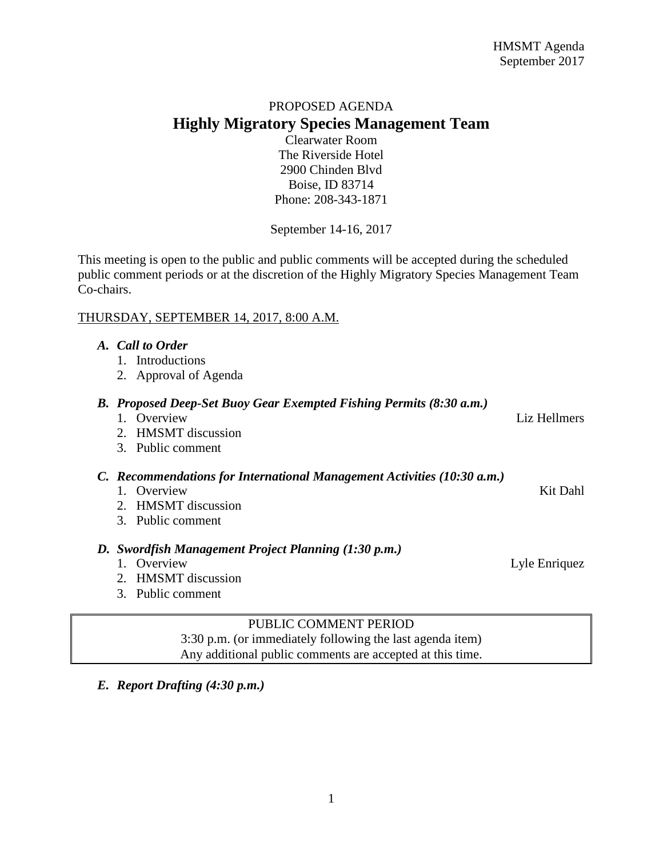# PROPOSED AGENDA **Highly Migratory Species Management Team**

Clearwater Room The Riverside Hotel 2900 Chinden Blvd Boise, ID 83714 Phone: 208-343-1871

September 14-16, 2017

This meeting is open to the public and public comments will be accepted during the scheduled public comment periods or at the discretion of the Highly Migratory Species Management Team Co-chairs.

## THURSDAY, SEPTEMBER 14, 2017, 8:00 A.M.

| <b>Call to Order</b><br>A. |
|----------------------------|
|----------------------------|

- 1. Introductions
- 2. Approval of Agenda
- *B. Proposed Deep-Set Buoy Gear Exempted Fishing Permits (8:30 a.m.)*
	- 1. Overview Liz Hellmers 2. HMSMT discussion 3. Public comment
- *C. Recommendations for International Management Activities (10:30 a.m.)*
	- 1. Overview Kit Dahl
	- 2. HMSMT discussion
	- 3. Public comment

### *D. Swordfish Management Project Planning (1:30 p.m.)*

- 1. Overview Lyle Enriquez
- 2. HMSMT discussion
- 3. Public comment

## PUBLIC COMMENT PERIOD

3:30 p.m. (or immediately following the last agenda item) Any additional public comments are accepted at this time.

*E. Report Drafting (4:30 p.m.)*